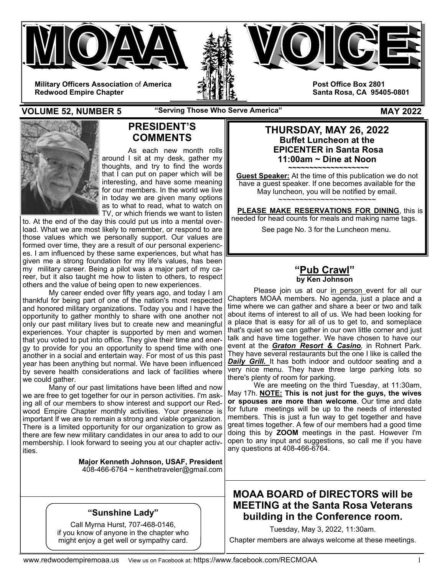



**Military Officers Association** of **America Redwood Empire Chapter** 

**Post Office Box 2801 Santa Rosa, CA 95405-0801** 

**VOLUME 52, NUMBER 5 "Serving Those Who Serve America" MAY 2022** 



# **PRESIDENT'S COMMENTS**

As each new month rolls around I sit at my desk, gather my thoughts, and try to find the words that I can put on paper which will be interesting, and have some meaning for our members. In the world we live in today we are given many options as to what to read, what to watch on TV, or which friends we want to listen

to. At the end of the day this could put us into a mental overload. What we are most likely to remember, or respond to are those values which we personally support. Our values are formed over time, they are a result of our personal experiences. I am influenced by these same experiences, but what has given me a strong foundation for my life's values, has been my military career. Being a pilot was a major part of my career, but it also taught me how to listen to others, to respect others and the value of being open to new experiences.

 My career ended over fifty years ago, and today I am thankful for being part of one of the nation's most respected and honored military organizations. Today you and I have the opportunity to gather monthly to share with one another not only our past military lives but to create new and meaningful experiences. Your chapter is supported by men and women that you voted to put into office. They give their time and energy to provide for you an opportunity to spend time with one another in a social and entertain way. For most of us this past year has been anything but normal. We have been influenced by severe health considerations and lack of facilities where we could gather.

 Many of our past limitations have been lifted and now we are free to get together for our in person activities. I'm asking all of our members to show interest and support our Redwood Empire Chapter monthly activities. Your presence is important If we are to remain a strong and viable organization. There is a limited opportunity for our organization to grow as there are few new military candidates in our area to add to our membership. I look forward to seeing you at our chapter activities.

> **Major Kenneth Johnson, USAF, President**  408-466-6764 ~ kenthetraveler@gmail.com

## **"Sunshine Lady"**

Call Myrna Hurst, 707-468-0146, if you know of anyone in the chapter who might enjoy a get well or sympathy card.

## **THURSDAY, MAY 26, 2022 Buffet Luncheon at the EPICENTER in Santa Rosa 11:00am ~ Dine at Noon**

**~~~~~~~~~~~~~~~~~~~ Guest Speaker:** At the time of this publication we do not have a guest speaker. If one becomes available for the May luncheon, you will be notified by email. ~~~~~~~~~~~~~~~~~~~~~~~

 **PLEASE MAKE RESERVATIONS FOR DINING**, this is needed for head counts for meals and making name tags. See page No. 3 for the Luncheon menu.

## **"Pub Crawl" by Ken Johnson**

Please join us at our in person event for all our Chapters MOAA members. No agenda, just a place and a time where we can gather and share a beer or two and talk about items of interest to all of us. We had been looking for a place that is easy for all of us to get to, and someplace that's quiet so we can gather in our own little corner and just talk and have time together. We have chosen to have our event at the *Graton Resort & Casino,* in Rohnert Park. They have several restaurants but the one I like is called the **Daily Grill.** It has both indoor and outdoor seating and a very nice menu. They have three large parking lots so there's plenty of room for parking.

 We are meeting on the third Tuesday, at 11:30am, May 17h. **NOTE: This is not just for the guys, the wives or spouses are more than welcome**. Our time and date for future meetings will be up to the needs of interested members. This is just a fun way to get together and have great times together. A few of our members had a good time doing this by **ZOOM** meetings in the past. However I'm open to any input and suggestions, so call me if you have any questions at 408-466-6764.

# **MOAA BOARD of DIRECTORS will be MEETING at the Santa Rosa Veterans building in the Conference room.**

Tuesday, May 3, 2022, 11:30am.

Chapter members are always welcome at these meetings.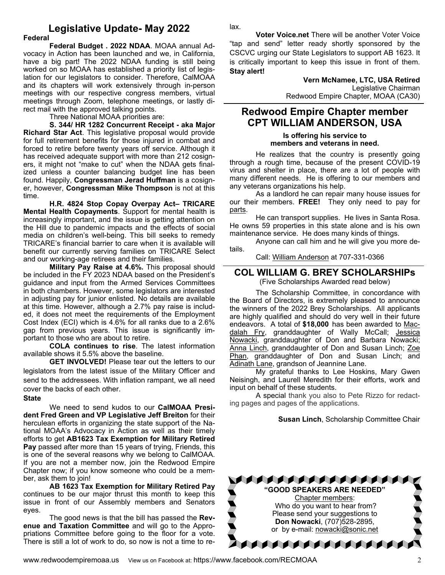# **Legislative Update- May 2022**

#### **Federal**

**Federal Budget . 2022 NDAA**. MOAA annual Advocacy in Action has been launched and we, in California, have a big part! The 2022 NDAA funding is still being worked on so MOAA has established a priority list of legislation for our legislators to consider. Therefore, CalMOAA and its chapters will work extensively through in-person meetings with our respective congress members, virtual meetings through Zoom, telephone meetings, or lastly direct mail with the approved talking points.

Three National MOAA priorities are:

**S. 344/ HR 1282 Concurrent Receipt - aka Major Richard Star Act**. This legislative proposal would provide for full retirement benefits for those injured in combat and forced to retire before twenty years off service. Although it has received adequate support with more than 212 cosigners, it might not "make to cut" when the NDAA gets finalized unless a counter balancing budget line has been found. Happily, **Congressman Jerad Huffman** is a cosigner, however, **Congressman Mike Thompson** is not at this time.

**H.R. 4824 Stop Copay Overpay Act– TRICARE Mental Health Copayments**. Support for mental health is increasingly important, and the issue is getting attention on the Hill due to pandemic impacts and the effects of social media on children's well-being. This bill seeks to remedy TRICARE's financial barrier to care when it is available will benefit our currently serving families on TRICARE Select and our working-age retirees and their families.

**Military Pay Raise at 4.6%.** This proposal should be included in the FY 2023 NDAA based on the President's guidance and input from the Armed Services Committees in both chambers. However, some legislators are interested in adjusting pay for junior enlisted. No details are available at this time. However, although a 2.7% pay raise is included, it does not meet the requirements of the Employment Cost Index (ECI) which is 4.6% for all ranks due to a 2.6% gap from previous years. This issue is significantly important to those who are about to retire.

**COLA continues to rise**. The latest information available shows it 5.5% above the baseline.

**GET INVOLVED!** Please tear out the letters to our legislators from the latest issue of the Military Officer and send to the addressees. With inflation rampant, we all need cover the backs of each other.

#### **State**

 We need to send kudos to our **CalMOAA President Fred Green and VP Legislative Jeff Breiton** for their herculean efforts in organizing the state support of the National MOAA's Advocacy in Action as well as their timely efforts to get **AB1623 Tax Exemption for Military Retired Pay** passed after more than 15 years of trying, Friends, this is one of the several reasons why we belong to CalMOAA. If you are not a member now, join the Redwood Empire Chapter now; if you know someone who could be a member, ask them to join!

**AB 1623 Tax Exemption for Military Retired Pay** continues to be our major thrust this month to keep this issue in front of our Assembly members and Senators eyes.

 The good news is that the bill has passed the **Revenue and Taxation Committee** and will go to the Appropriations Committee before going to the floor for a vote. There is still a lot of work to do, so now is not a time to relax.

**Voter Voice.net** There will be another Voter Voice "tap and send" letter ready shortly sponsored by the CSCVC urging our State Legislators to support AB 1623. It is critically important to keep this issue in front of them. **Stay alert!**

> **Vern McNamee, LTC, USA Retired**  Legislative Chairman Redwood Empire Chapter, MOAA (CA30)

## **Redwood Empire Chapter member CPT WILLIAM ANDERSON, USA**

**Is offering his service to members and veterans in need.** 

 He realizes that the country is presently going through a rough time, because of the present COVID-19 virus and shelter in place, there are a lot of people with many different needs. He is offering to our members and any veterans organizations his help.

 As a landlord he can repair many house issues for our their members. **FREE!** They only need to pay for parts.

 He can transport supplies. He lives in Santa Rosa. He owns 59 properties in this state alone and is his own maintenance service. He does many kinds of things.

 Anyone can call him and he will give you more details.

Call: William Anderson at 707-331-0366

### **COL WILLIAM G. BREY SCHOLARSHIPs**

(Five Scholarships Awarded read below)

 The Scholarship Committee, in concordance with the Board of Directors, is extremely pleased to announce the winners of the 2022 Brey Scholarships. All applicants are highly qualified and should do very well in their future endeavors. A total of **\$18,000** has been awarded to Macdalah Fry, granddaughter of Wally McCall; Jessica Nowacki, granddaughter of Don and Barbara Nowacki; Anna Linch, granddaughter of Don and Susan Linch; Zoe Phan, granddaughter of Don and Susan Linch; and Adinath Lane, grandson of Jeannine Lane.

 My grateful thanks to Lee Hoskins, Mary Gwen Neisingh, and Laurell Meredith for their efforts, work and input on behalf of these students.

 A special thank you also to Pete Rizzo for redacting pages and pages of the applications.

#### **Susan Linch**, Scholarship Committee Chair

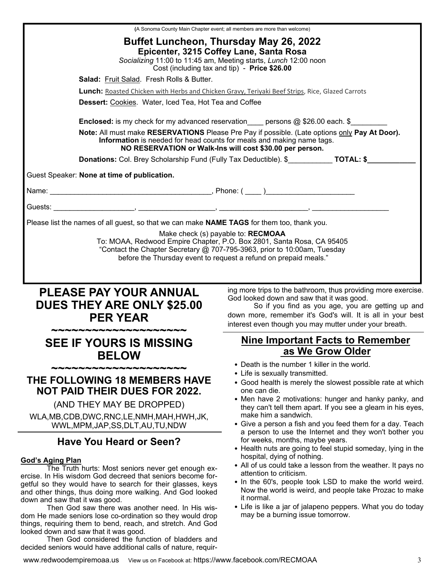|                                                                                                 | (A Sonoma County Main Chapter event; all members are more than welcome)                                                                                                                                                        |  |  |
|-------------------------------------------------------------------------------------------------|--------------------------------------------------------------------------------------------------------------------------------------------------------------------------------------------------------------------------------|--|--|
|                                                                                                 | <b>Buffet Luncheon, Thursday May 26, 2022</b><br>Epicenter, 3215 Coffey Lane, Santa Rosa<br>Socializing 11:00 to 11:45 am, Meeting starts, Lunch 12:00 noon<br>Cost (including tax and tip) - Price \$26.00                    |  |  |
| Salad: Fruit Salad. Fresh Rolls & Butter.                                                       |                                                                                                                                                                                                                                |  |  |
| Lunch: Roasted Chicken with Herbs and Chicken Gravy, Teriyaki Beef Strips, Rice, Glazed Carrots |                                                                                                                                                                                                                                |  |  |
| Dessert: Cookies. Water, Iced Tea, Hot Tea and Coffee                                           |                                                                                                                                                                                                                                |  |  |
|                                                                                                 | <b>Enclosed:</b> is my check for my advanced reservation persons $@$ \$26.00 each. \$                                                                                                                                          |  |  |
| Information is needed for head counts for meals and making name tags.                           | Note: All must make RESERVATIONS Please Pre Pay if possible. (Late options only Pay At Door).<br>NO RESERVATION or Walk-Ins will cost \$30.00 per person.                                                                      |  |  |
| Donations: Col. Brey Scholarship Fund (Fully Tax Deductible). \$____________ TOTAL: \$________  |                                                                                                                                                                                                                                |  |  |
| Guest Speaker: None at time of publication.                                                     |                                                                                                                                                                                                                                |  |  |
|                                                                                                 |                                                                                                                                                                                                                                |  |  |
|                                                                                                 |                                                                                                                                                                                                                                |  |  |
| Please list the names of all guest, so that we can make NAME TAGS for them too, thank you.      |                                                                                                                                                                                                                                |  |  |
|                                                                                                 | before the Thursday event to request a refund on prepaid meals."                                                                                                                                                               |  |  |
| <b>PLEASE PAY YOUR ANNUAL</b><br><b>DUES THEY ARE ONLY \$25.00</b><br><b>PER YEAR</b>           | ing more trips to the bathroom, thus providing more exercise.<br>God looked down and saw that it was good.<br>So if you find as you age, you are getting up and<br>down more, remember it's God's will. It is all in your best |  |  |
|                                                                                                 | interest even though you may mutter under your breath.                                                                                                                                                                         |  |  |
| <b>SEE IF YOURS IS MISSING</b><br><b>BELOW</b>                                                  | <b>Nine Important Facts to Remember</b><br>as We Grow Older                                                                                                                                                                    |  |  |
| ,,,,,,,,,,,,,,,,,,,,,,,,                                                                        | • Death is the number 1 killer in the world.                                                                                                                                                                                   |  |  |
| <b>THE FOLLOWING 18 MEMBERS HAVE</b><br><b>NOT PAID THEIR DUES FOR 2022.</b>                    | • Life is sexually transmitted.<br>• Good health is merely the slowest possible rate at which<br>one can die.                                                                                                                  |  |  |
| (AND THEY MAY BE DROPPED)                                                                       | • Men have 2 motivations: hunger and hanky panky, and                                                                                                                                                                          |  |  |
| WLA, MB, CDB, DWC, RNC, LE, NMH, MAH, HWH, JK,<br>WWL, MPM, JAP, SS, DLT, AU, TU, NDW           | they can't tell them apart. If you see a gleam in his eyes,<br>make him a sandwich.<br>• Give a person a fish and you feed them for a day. Teach<br>a person to use the Internet and they won't bother you                     |  |  |

www.redwoodempiremoaa.us View us on Facebook at: https://www.facebook.com/RECMOAA 3

things, requiring them to bend, reach, and stretch. And God

 Then God considered the function of bladders and decided seniors would have additional calls of nature, requir-

looked down and saw that it was good.